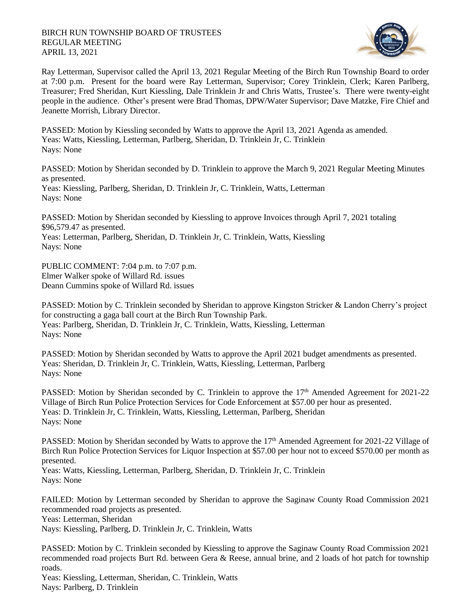

Ray Letterman, Supervisor called the April 13, 2021 Regular Meeting of the Birch Run Township Board to order at 7:00 p.m. Present for the board were Ray Letterman, Supervisor; Corey Trinklein, Clerk; Karen Parlberg, Treasurer; Fred Sheridan, Kurt Kiessling, Dale Trinklein Jr and Chris Watts, Trustee's. There were twenty-eight people in the audience. Other's present were Brad Thomas, DPW/Water Supervisor; Dave Matzke, Fire Chief and Jeanette Morrish, Library Director.

PASSED: Motion by Kiessling seconded by Watts to approve the April 13, 2021 Agenda as amended. Yeas: Watts, Kiessling, Letterman, Parlberg, Sheridan, D. Trinklein Jr, C. Trinklein Nays: None

PASSED: Motion by Sheridan seconded by D. Trinklein to approve the March 9, 2021 Regular Meeting Minutes as presented.

Yeas: Kiessling, Parlberg, Sheridan, D. Trinklein Jr, C. Trinklein, Watts, Letterman Nays: None

PASSED: Motion by Sheridan seconded by Kiessling to approve Invoices through April 7, 2021 totaling \$96,579.47 as presented.

Yeas: Letterman, Parlberg, Sheridan, D. Trinklein Jr, C. Trinklein, Watts, Kiessling Nays: None

PUBLIC COMMENT: 7:04 p.m. to 7:07 p.m. Elmer Walker spoke of Willard Rd. issues Deann Cummins spoke of Willard Rd. issues

PASSED: Motion by C. Trinklein seconded by Sheridan to approve Kingston Stricker & Landon Cherry's project for constructing a gaga ball court at the Birch Run Township Park. Yeas: Parlberg, Sheridan, D. Trinklein Jr, C. Trinklein, Watts, Kiessling, Letterman Nays: None

PASSED: Motion by Sheridan seconded by Watts to approve the April 2021 budget amendments as presented. Yeas: Sheridan, D. Trinklein Jr, C. Trinklein, Watts, Kiessling, Letterman, Parlberg Nays: None

PASSED: Motion by Sheridan seconded by C. Trinklein to approve the 17<sup>th</sup> Amended Agreement for 2021-22 Village of Birch Run Police Protection Services for Code Enforcement at \$57.00 per hour as presented. Yeas: D. Trinklein Jr, C. Trinklein, Watts, Kiessling, Letterman, Parlberg, Sheridan Nays: None

PASSED: Motion by Sheridan seconded by Watts to approve the 17<sup>th</sup> Amended Agreement for 2021-22 Village of Birch Run Police Protection Services for Liquor Inspection at \$57.00 per hour not to exceed \$570.00 per month as presented.

Yeas: Watts, Kiessling, Letterman, Parlberg, Sheridan, D. Trinklein Jr, C. Trinklein Nays: None

FAILED: Motion by Letterman seconded by Sheridan to approve the Saginaw County Road Commission 2021 recommended road projects as presented.

Yeas: Letterman, Sheridan

Nays: Kiessling, Parlberg, D. Trinklein Jr, C. Trinklein, Watts

PASSED: Motion by C. Trinklein seconded by Kiessling to approve the Saginaw County Road Commission 2021 recommended road projects Burt Rd. between Gera & Reese, annual brine, and 2 loads of hot patch for township roads.

Yeas: Kiessling, Letterman, Sheridan, C. Trinklein, Watts Nays: Parlberg, D. Trinklein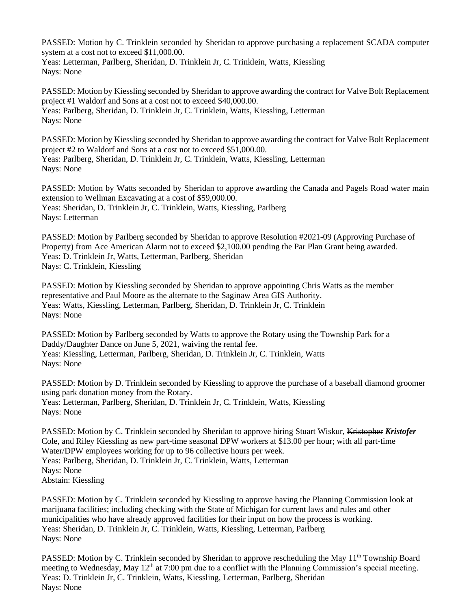PASSED: Motion by C. Trinklein seconded by Sheridan to approve purchasing a replacement SCADA computer system at a cost not to exceed \$11,000.00. Yeas: Letterman, Parlberg, Sheridan, D. Trinklein Jr, C. Trinklein, Watts, Kiessling Nays: None

PASSED: Motion by Kiessling seconded by Sheridan to approve awarding the contract for Valve Bolt Replacement project #1 Waldorf and Sons at a cost not to exceed \$40,000.00. Yeas: Parlberg, Sheridan, D. Trinklein Jr, C. Trinklein, Watts, Kiessling, Letterman Nays: None

PASSED: Motion by Kiessling seconded by Sheridan to approve awarding the contract for Valve Bolt Replacement project #2 to Waldorf and Sons at a cost not to exceed \$51,000.00. Yeas: Parlberg, Sheridan, D. Trinklein Jr, C. Trinklein, Watts, Kiessling, Letterman Nays: None

PASSED: Motion by Watts seconded by Sheridan to approve awarding the Canada and Pagels Road water main extension to Wellman Excavating at a cost of \$59,000.00. Yeas: Sheridan, D. Trinklein Jr, C. Trinklein, Watts, Kiessling, Parlberg Nays: Letterman

PASSED: Motion by Parlberg seconded by Sheridan to approve Resolution #2021-09 (Approving Purchase of Property) from Ace American Alarm not to exceed \$2,100.00 pending the Par Plan Grant being awarded. Yeas: D. Trinklein Jr, Watts, Letterman, Parlberg, Sheridan Nays: C. Trinklein, Kiessling

PASSED: Motion by Kiessling seconded by Sheridan to approve appointing Chris Watts as the member representative and Paul Moore as the alternate to the Saginaw Area GIS Authority. Yeas: Watts, Kiessling, Letterman, Parlberg, Sheridan, D. Trinklein Jr, C. Trinklein Nays: None

PASSED: Motion by Parlberg seconded by Watts to approve the Rotary using the Township Park for a Daddy/Daughter Dance on June 5, 2021, waiving the rental fee. Yeas: Kiessling, Letterman, Parlberg, Sheridan, D. Trinklein Jr, C. Trinklein, Watts Nays: None

PASSED: Motion by D. Trinklein seconded by Kiessling to approve the purchase of a baseball diamond groomer using park donation money from the Rotary. Yeas: Letterman, Parlberg, Sheridan, D. Trinklein Jr, C. Trinklein, Watts, Kiessling Nays: None

PASSED: Motion by C. Trinklein seconded by Sheridan to approve hiring Stuart Wiskur, Kristopher *Kristofer*  Cole, and Riley Kiessling as new part-time seasonal DPW workers at \$13.00 per hour; with all part-time Water/DPW employees working for up to 96 collective hours per week. Yeas: Parlberg, Sheridan, D. Trinklein Jr, C. Trinklein, Watts, Letterman Nays: None Abstain: Kiessling

PASSED: Motion by C. Trinklein seconded by Kiessling to approve having the Planning Commission look at marijuana facilities; including checking with the State of Michigan for current laws and rules and other municipalities who have already approved facilities for their input on how the process is working. Yeas: Sheridan, D. Trinklein Jr, C. Trinklein, Watts, Kiessling, Letterman, Parlberg Nays: None

PASSED: Motion by C. Trinklein seconded by Sheridan to approve rescheduling the May 11<sup>th</sup> Township Board meeting to Wednesday, May 12<sup>th</sup> at 7:00 pm due to a conflict with the Planning Commission's special meeting. Yeas: D. Trinklein Jr, C. Trinklein, Watts, Kiessling, Letterman, Parlberg, Sheridan Nays: None